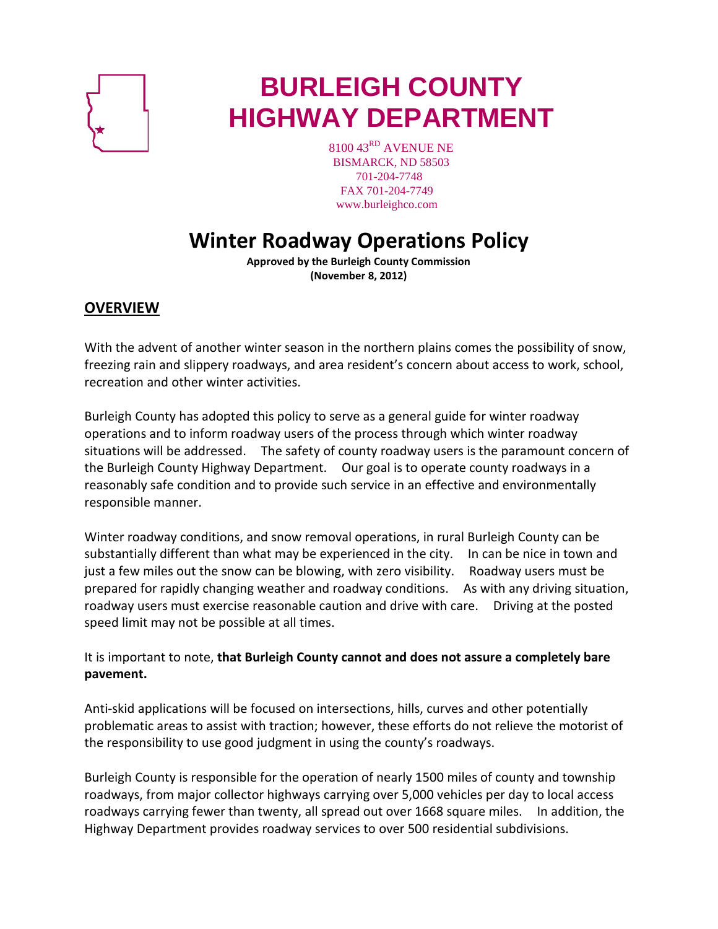

# **BURLEIGH COUNTY HIGHWAY DEPARTMENT**

8100 43<sup>RD</sup> AVENUE NE BISMARCK, ND 58503 701-204-7748 FAX 701-204-7749 www.burleighco.com

# **Winter Roadway Operations Policy**

**Approved by the Burleigh County Commission (November 8, 2012)**

# **OVERVIEW**

With the advent of another winter season in the northern plains comes the possibility of snow, freezing rain and slippery roadways, and area resident's concern about access to work, school, recreation and other winter activities.

Burleigh County has adopted this policy to serve as a general guide for winter roadway operations and to inform roadway users of the process through which winter roadway situations will be addressed. The safety of county roadway users is the paramount concern of the Burleigh County Highway Department. Our goal is to operate county roadways in a reasonably safe condition and to provide such service in an effective and environmentally responsible manner.

Winter roadway conditions, and snow removal operations, in rural Burleigh County can be substantially different than what may be experienced in the city. In can be nice in town and just a few miles out the snow can be blowing, with zero visibility. Roadway users must be prepared for rapidly changing weather and roadway conditions. As with any driving situation, roadway users must exercise reasonable caution and drive with care. Driving at the posted speed limit may not be possible at all times.

It is important to note, **that Burleigh County cannot and does not assure a completely bare pavement.**

Anti-skid applications will be focused on intersections, hills, curves and other potentially problematic areas to assist with traction; however, these efforts do not relieve the motorist of the responsibility to use good judgment in using the county's roadways.

Burleigh County is responsible for the operation of nearly 1500 miles of county and township roadways, from major collector highways carrying over 5,000 vehicles per day to local access roadways carrying fewer than twenty, all spread out over 1668 square miles. In addition, the Highway Department provides roadway services to over 500 residential subdivisions.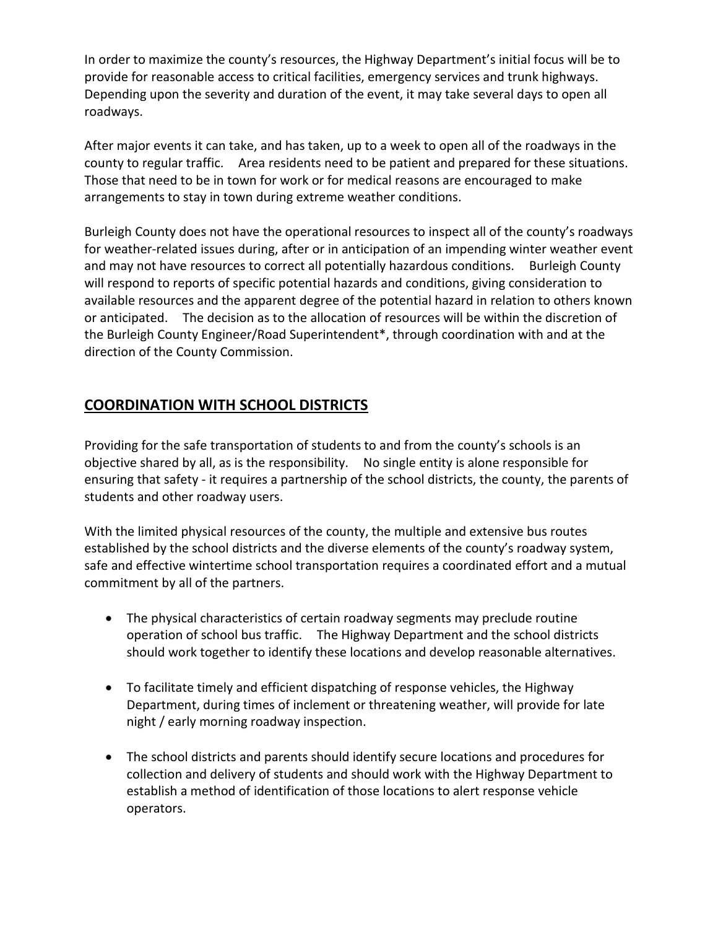In order to maximize the county's resources, the Highway Department's initial focus will be to provide for reasonable access to critical facilities, emergency services and trunk highways. Depending upon the severity and duration of the event, it may take several days to open all roadways.

After major events it can take, and has taken, up to a week to open all of the roadways in the county to regular traffic. Area residents need to be patient and prepared for these situations. Those that need to be in town for work or for medical reasons are encouraged to make arrangements to stay in town during extreme weather conditions.

Burleigh County does not have the operational resources to inspect all of the county's roadways for weather-related issues during, after or in anticipation of an impending winter weather event and may not have resources to correct all potentially hazardous conditions. Burleigh County will respond to reports of specific potential hazards and conditions, giving consideration to available resources and the apparent degree of the potential hazard in relation to others known or anticipated. The decision as to the allocation of resources will be within the discretion of the Burleigh County Engineer/Road Superintendent\*, through coordination with and at the direction of the County Commission.

# **COORDINATION WITH SCHOOL DISTRICTS**

Providing for the safe transportation of students to and from the county's schools is an objective shared by all, as is the responsibility. No single entity is alone responsible for ensuring that safety - it requires a partnership of the school districts, the county, the parents of students and other roadway users.

With the limited physical resources of the county, the multiple and extensive bus routes established by the school districts and the diverse elements of the county's roadway system, safe and effective wintertime school transportation requires a coordinated effort and a mutual commitment by all of the partners.

- The physical characteristics of certain roadway segments may preclude routine operation of school bus traffic. The Highway Department and the school districts should work together to identify these locations and develop reasonable alternatives.
- To facilitate timely and efficient dispatching of response vehicles, the Highway Department, during times of inclement or threatening weather, will provide for late night / early morning roadway inspection.
- The school districts and parents should identify secure locations and procedures for collection and delivery of students and should work with the Highway Department to establish a method of identification of those locations to alert response vehicle operators.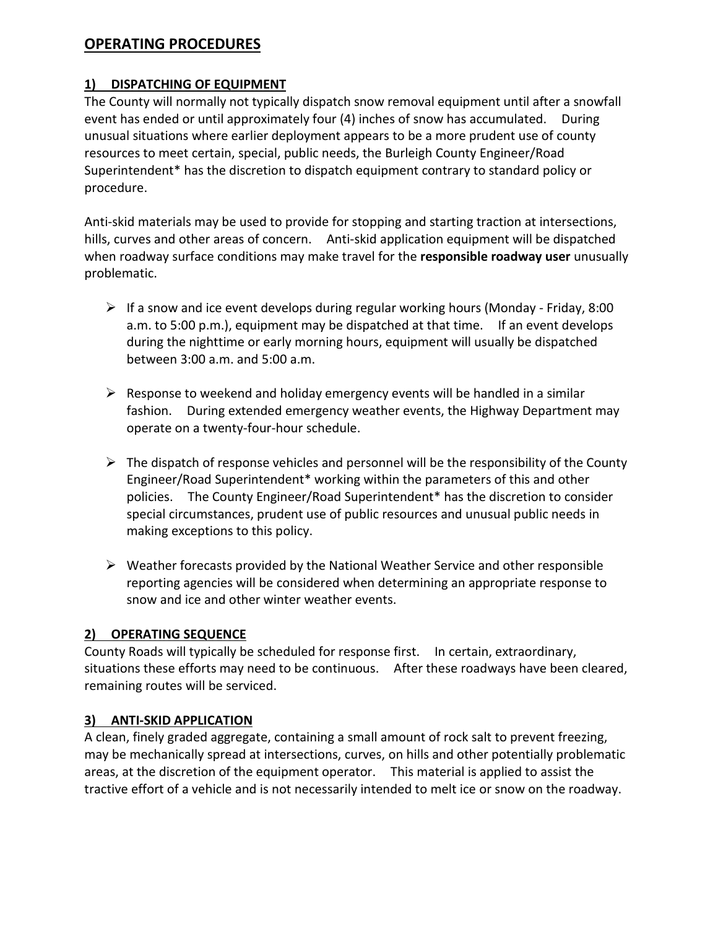# **OPERATING PROCEDURES**

#### **1) DISPATCHING OF EQUIPMENT**

The County will normally not typically dispatch snow removal equipment until after a snowfall event has ended or until approximately four (4) inches of snow has accumulated. During unusual situations where earlier deployment appears to be a more prudent use of county resources to meet certain, special, public needs, the Burleigh County Engineer/Road Superintendent\* has the discretion to dispatch equipment contrary to standard policy or procedure.

Anti-skid materials may be used to provide for stopping and starting traction at intersections, hills, curves and other areas of concern. Anti-skid application equipment will be dispatched when roadway surface conditions may make travel for the **responsible roadway user** unusually problematic.

- $\triangleright$  If a snow and ice event develops during regular working hours (Monday Friday, 8:00 a.m. to 5:00 p.m.), equipment may be dispatched at that time. If an event develops during the nighttime or early morning hours, equipment will usually be dispatched between 3:00 a.m. and 5:00 a.m.
- $\triangleright$  Response to weekend and holiday emergency events will be handled in a similar fashion. During extended emergency weather events, the Highway Department may operate on a twenty-four-hour schedule.
- $\triangleright$  The dispatch of response vehicles and personnel will be the responsibility of the County Engineer/Road Superintendent\* working within the parameters of this and other policies. The County Engineer/Road Superintendent\* has the discretion to consider special circumstances, prudent use of public resources and unusual public needs in making exceptions to this policy.
- $\triangleright$  Weather forecasts provided by the National Weather Service and other responsible reporting agencies will be considered when determining an appropriate response to snow and ice and other winter weather events.

#### **2) OPERATING SEQUENCE**

County Roads will typically be scheduled for response first. In certain, extraordinary, situations these efforts may need to be continuous. After these roadways have been cleared, remaining routes will be serviced.

#### **3) ANTI-SKID APPLICATION**

A clean, finely graded aggregate, containing a small amount of rock salt to prevent freezing, may be mechanically spread at intersections, curves, on hills and other potentially problematic areas, at the discretion of the equipment operator. This material is applied to assist the tractive effort of a vehicle and is not necessarily intended to melt ice or snow on the roadway.